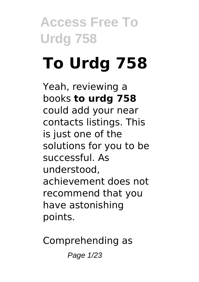## **To Urdg 758**

Yeah, reviewing a books **to urdg 758** could add your near contacts listings. This is just one of the solutions for you to be successful. As understood, achievement does not recommend that you have astonishing points.

Comprehending as

Page 1/23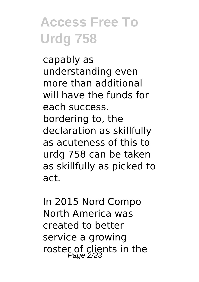capably as understanding even more than additional will have the funds for each success. bordering to, the declaration as skillfully as acuteness of this to urdg 758 can be taken as skillfully as picked to act.

In 2015 Nord Compo North America was created to better service a growing roster of clients in the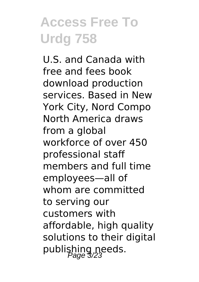U.S. and Canada with free and fees book download production services. Based in New York City, Nord Compo North America draws from a global workforce of over 450 professional staff members and full time employees—all of whom are committed to serving our customers with affordable, high quality solutions to their digital publishing needs.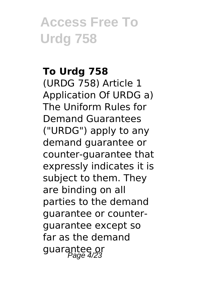#### **To Urdg 758**

(URDG 758) Article 1 Application Of URDG a) The Uniform Rules for Demand Guarantees ("URDG") apply to any demand guarantee or counter-guarantee that expressly indicates it is subject to them. They are binding on all parties to the demand guarantee or counterguarantee except so far as the demand guarantee or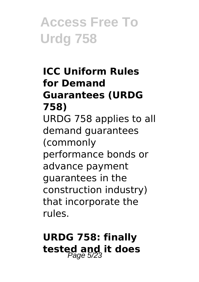#### **ICC Uniform Rules for Demand Guarantees (URDG 758)** URDG 758 applies to all demand guarantees (commonly performance bonds or

advance payment guarantees in the construction industry) that incorporate the rules.

### **URDG 758: finally** tested and it does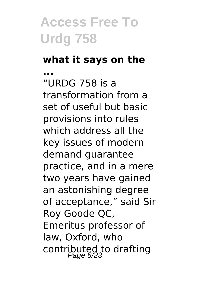#### **what it says on the ...**

"URDG 758 is a transformation from a set of useful but basic provisions into rules which address all the key issues of modern demand guarantee practice, and in a mere two years have gained an astonishing degree of acceptance," said Sir Roy Goode QC, Emeritus professor of law, Oxford, who contributed to drafting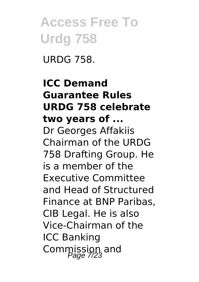URDG 758.

#### **ICC Demand Guarantee Rules URDG 758 celebrate two years of ...** Dr Georges Affakiis Chairman of the URDG 758 Drafting Group. He is a member of the Executive Committee and Head of Structured Finance at BNP Paribas, CIB Legal. He is also Vice-Chairman of the ICC Banking Commission and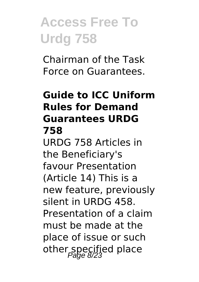Chairman of the Task Force on Guarantees.

#### **Guide to ICC Uniform Rules for Demand Guarantees URDG 758**

URDG 758 Articles in the Beneficiary's favour Presentation (Article 14) This is a new feature, previously silent in URDG 458. Presentation of a claim must be made at the place of issue or such other specified place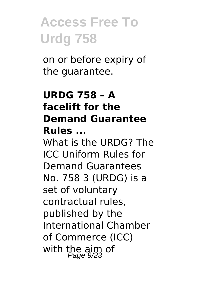on or before expiry of the guarantee.

#### **URDG 758 – A facelift for the Demand Guarantee Rules ...**

What is the URDG? The ICC Uniform Rules for Demand Guarantees No. 758 3 (URDG) is a set of voluntary contractual rules, published by the International Chamber of Commerce (ICC) with the aim of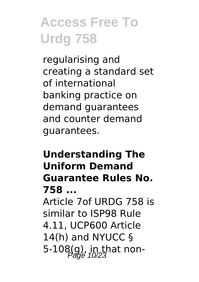regularising and creating a standard set of international banking practice on demand guarantees and counter demand guarantees.

#### **Understanding The Uniform Demand Guarantee Rules No. 758 ...**

Article 7of URDG 758 is similar to ISP98 Rule 4.11, UCP600 Article 14(h) and NYUCC § 5-108(g), in that non-<br> $P_{\text{a}0}^{23}$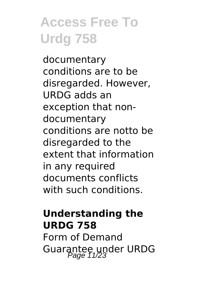documentary conditions are to be disregarded. However, URDG adds an exception that nondocumentary conditions are notto be disregarded to the extent that information in any required documents conflicts with such conditions.

#### **Understanding the URDG 758**

Form of Demand Guarantee under URDG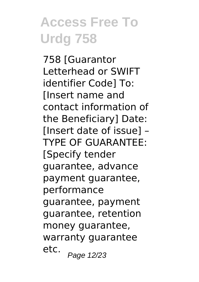758 [Guarantor Letterhead or SWIFT identifier Code] To: [Insert name and contact information of the Beneficiary] Date: [Insert date of issue] – TYPE OF GUARANTEE: [Specify tender guarantee, advance payment guarantee, performance guarantee, payment guarantee, retention money guarantee, warranty guarantee etc.  $P$ age 12/23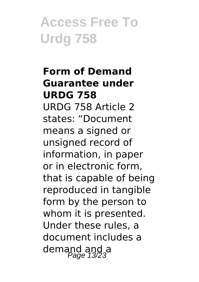#### **Form of Demand Guarantee under URDG 758**

URDG 758 Article 2 states: "Document means a signed or unsigned record of information, in paper or in electronic form, that is capable of being reproduced in tangible form by the person to whom it is presented. Under these rules, a document includes a demand and a<br> $P_{\text{age}}$  13/23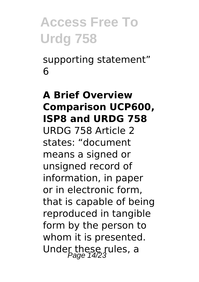supporting statement" 6

#### **A Brief Overview Comparison UCP600, ISP8 and URDG 758**

URDG 758 Article 2 states: "document means a signed or unsigned record of information, in paper or in electronic form, that is capable of being reproduced in tangible form by the person to whom it is presented. Under these rules, a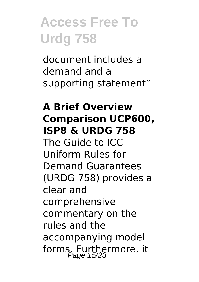document includes a demand and a supporting statement"

#### **A Brief Overview Comparison UCP600, ISP8 & URDG 758**

The Guide to ICC Uniform Rules for Demand Guarantees (URDG 758) provides a clear and comprehensive commentary on the rules and the accompanying model forms. Furthermore, it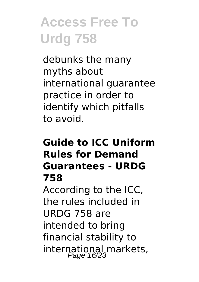debunks the many myths about international guarantee practice in order to identify which pitfalls to avoid.

#### **Guide to ICC Uniform Rules for Demand Guarantees - URDG 758**

According to the ICC, the rules included in URDG 758 are intended to bring financial stability to international markets,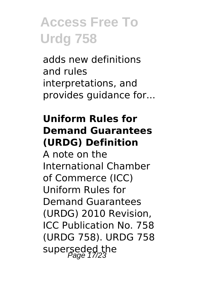adds new definitions and rules interpretations, and provides guidance for...

#### **Uniform Rules for Demand Guarantees (URDG) Definition**

A note on the International Chamber of Commerce (ICC) Uniform Rules for Demand Guarantees (URDG) 2010 Revision, ICC Publication No. 758 (URDG 758). URDG 758 superseded the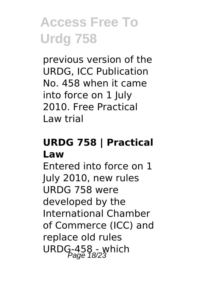previous version of the URDG, ICC Publication No. 458 when it came into force on 1 July 2010. Free Practical Law trial

#### **URDG 758 | Practical Law**

Entered into force on 1 July 2010, new rules URDG 758 were developed by the International Chamber of Commerce (ICC) and replace old rules URDG-458 - which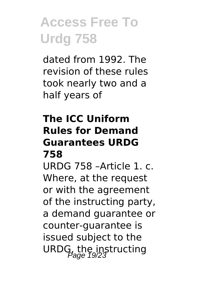dated from 1992. The revision of these rules took nearly two and a half years of

#### **The ICC Uniform Rules for Demand Guarantees URDG 758**

URDG 758 –Article 1. c. Where, at the request or with the agreement of the instructing party, a demand guarantee or counter-guarantee is issued subject to the URDG, the instructing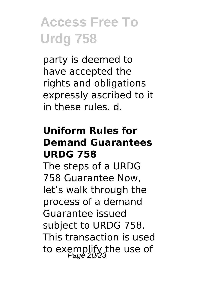party is deemed to have accepted the rights and obligations expressly ascribed to it in these rules. d.

#### **Uniform Rules for Demand Guarantees URDG 758**

The steps of a URDG 758 Guarantee Now, let's walk through the process of a demand Guarantee issued subject to URDG 758. This transaction is used to exemplify the use of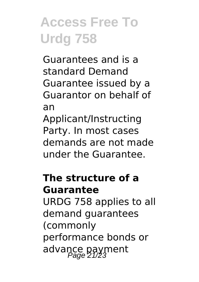Guarantees and is a standard Demand Guarantee issued by a Guarantor on behalf of an Applicant/Instructing Party. In most cases demands are not made

under the Guarantee.

#### **The structure of a Guarantee**

URDG 758 applies to all demand guarantees (commonly performance bonds or advance payment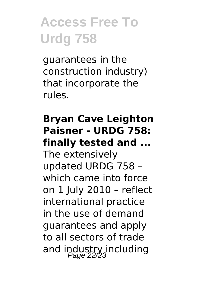guarantees in the construction industry) that incorporate the rules.

#### **Bryan Cave Leighton Paisner - URDG 758: finally tested and ...**

The extensively updated URDG 758 – which came into force on 1 July 2010 – reflect international practice in the use of demand guarantees and apply to all sectors of trade and industry including